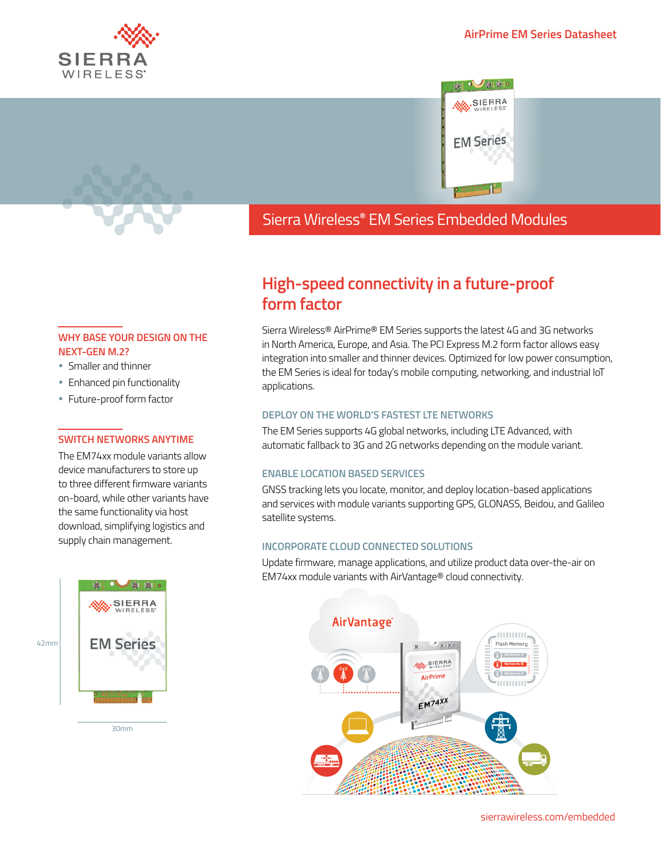



## Sierra Wireless **EMBEDDED MODULES HL SERIES** Wireless**®** EM Series Embedded Modules

# **High-speed connectivity in a future-proof form factor**

Sierra Wireless® AirPrime® EM Series supports the latest 4G and 3G networks in North America, Europe, and Asia. The PCI Express M.2 form factor allows easy integration into smaller and thinner devices. Optimized for low power consumption, the EM Series is ideal for today's mobile computing, networking, and industrial IoT applications.

#### **DEPLOY ON THE WORLD'S FASTEST LTE NETWORKS**

The EM Series supports 4G global networks, including LTE Advanced, with automatic fallback to 3G and 2G networks depending on the module variant.

#### **ENABLE LOCATION BASED SERVICES**

GNSS tracking lets you locate, monitor, and deploy location-based applications and services with module variants supporting GPS, GLONASS, Beidou, and Galileo satellite systems.

#### **INCORPORATE CLOUD CONNECTED SOLUTIONS**

Update firmware, manage applications, and utilize product data over-the-air on EM74xx module variants with AirVantage® cloud connectivity.



### **WHY BASE YOUR DESIGN ON THE NEXT-GEN M.2?**

- Smaller and thinner
- Enhanced pin functionality
- Future-proof form factor

#### **SWITCH NETWORKS ANYTIME**

The EM74xx module variants allow device manufacturers to store up to three different firmware variants on-board, while other variants have the same functionality via host download, simplifying logistics and supply chain management.